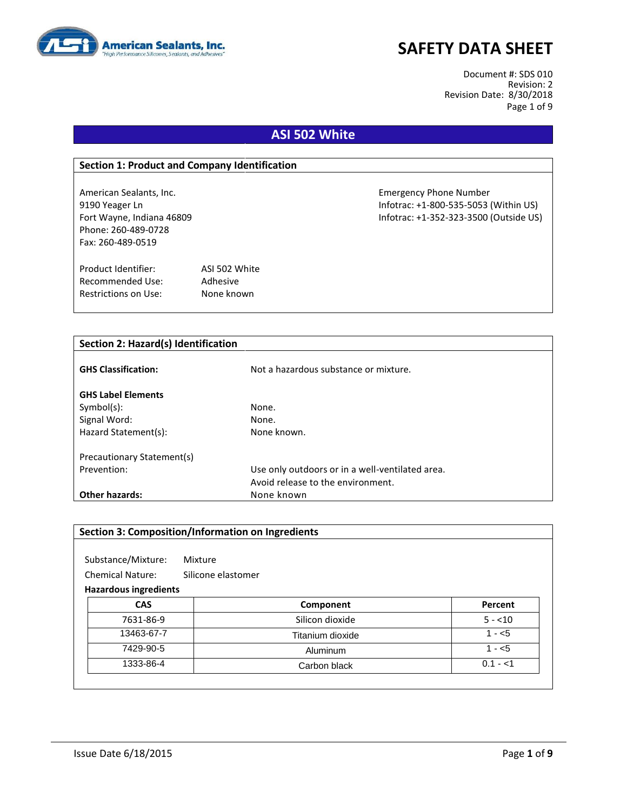

Document #: SDS 010 Revision: 2 Revision Date: 8/30/2018 Page 1 of 9

## **ASI 502 White**

#### **Section 1: Product and Company Identification**

Phone: 260-489-0728 Fax: 260-489-0519

Product Identifier: ASI 502 White Recommended Use: Adhesive Restrictions on Use: None known

American Sealants, Inc. Emergency Phone Number 9190 Yeager Ln Infotrac: +1-800-535-5053 (Within US) Fort Wayne, Indiana 46809 Infotrac: +1-352-323-3500 (Outside US)

| Section 2: Hazard(s) Identification |                                                 |  |
|-------------------------------------|-------------------------------------------------|--|
| <b>GHS Classification:</b>          | Not a hazardous substance or mixture.           |  |
|                                     |                                                 |  |
| <b>GHS Label Elements</b>           |                                                 |  |
| $Symbol(s)$ :                       | None.                                           |  |
| Signal Word:                        | None.                                           |  |
| Hazard Statement(s):                | None known.                                     |  |
|                                     |                                                 |  |
| Precautionary Statement(s)          |                                                 |  |
| Prevention:                         | Use only outdoors or in a well-ventilated area. |  |
|                                     | Avoid release to the environment.               |  |
| <b>Other hazards:</b>               | None known                                      |  |

|                                               | <b>Section 3: Composition/Information on Ingredients</b> |           |
|-----------------------------------------------|----------------------------------------------------------|-----------|
| Substance/Mixture:                            | Mixture                                                  |           |
| <b>Chemical Nature:</b><br>Silicone elastomer |                                                          |           |
| <b>Hazardous ingredients</b>                  |                                                          |           |
| <b>CAS</b>                                    | Component                                                | Percent   |
| 7631-86-9                                     | Silicon dioxide                                          | $5 - 10$  |
| 13463-67-7                                    | Titanium dioxide                                         | $1 - 5$   |
| 7429-90-5                                     | Aluminum                                                 | $1 - 5$   |
| 1333-86-4                                     | Carbon black                                             | $0.1 - 1$ |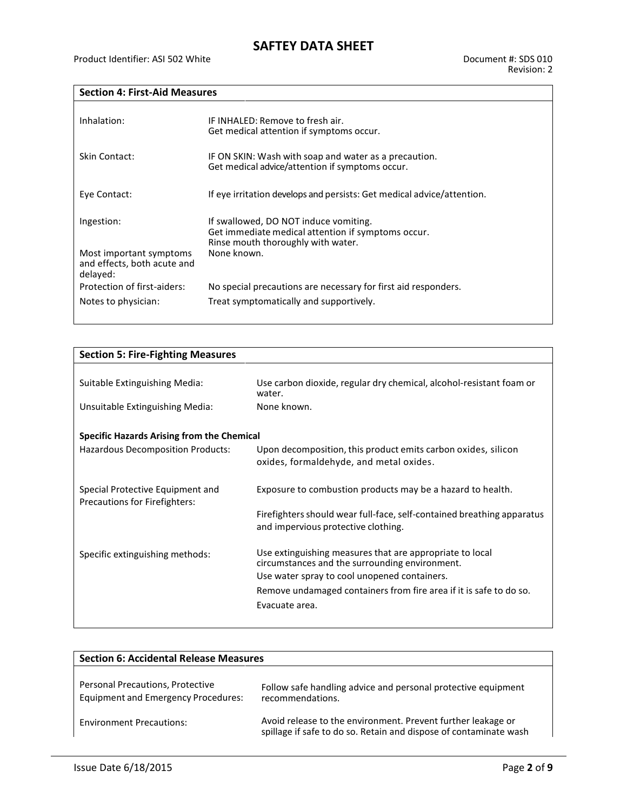### **Section 4: First-Aid Measures**

| Inhalation:                                                        | IF INHALED: Remove to fresh air.<br>Get medical attention if symptoms occur.                                                      |
|--------------------------------------------------------------------|-----------------------------------------------------------------------------------------------------------------------------------|
| Skin Contact:                                                      | IF ON SKIN: Wash with soap and water as a precaution.<br>Get medical advice/attention if symptoms occur.                          |
| Eye Contact:                                                       | If eye irritation develops and persists: Get medical advice/attention.                                                            |
| Ingestion:                                                         | If swallowed, DO NOT induce vomiting.<br>Get immediate medical attention if symptoms occur.<br>Rinse mouth thoroughly with water. |
| Most important symptoms<br>and effects, both acute and<br>delayed: | None known.                                                                                                                       |
| Protection of first-aiders:                                        | No special precautions are necessary for first aid responders.                                                                    |
| Notes to physician:                                                | Treat symptomatically and supportively.                                                                                           |

| <b>Section 5: Fire-Fighting Measures</b>                          |                                                                                                               |  |
|-------------------------------------------------------------------|---------------------------------------------------------------------------------------------------------------|--|
|                                                                   |                                                                                                               |  |
| Suitable Extinguishing Media:                                     | Use carbon dioxide, regular dry chemical, alcohol-resistant foam or<br>water.                                 |  |
| Unsuitable Extinguishing Media:                                   | None known.                                                                                                   |  |
| <b>Specific Hazards Arising from the Chemical</b>                 |                                                                                                               |  |
| Hazardous Decomposition Products:                                 | Upon decomposition, this product emits carbon oxides, silicon<br>oxides, formaldehyde, and metal oxides.      |  |
| Special Protective Equipment and<br>Precautions for Firefighters: | Exposure to combustion products may be a hazard to health.                                                    |  |
|                                                                   | Firefighters should wear full-face, self-contained breathing apparatus<br>and impervious protective clothing. |  |
| Specific extinguishing methods:                                   | Use extinguishing measures that are appropriate to local<br>circumstances and the surrounding environment.    |  |
|                                                                   | Use water spray to cool unopened containers.                                                                  |  |
|                                                                   | Remove undamaged containers from fire area if it is safe to do so.                                            |  |
|                                                                   | Evacuate area.                                                                                                |  |

| <b>Section 6: Accidental Release Measures</b>                                  |                                                                                                                                   |  |
|--------------------------------------------------------------------------------|-----------------------------------------------------------------------------------------------------------------------------------|--|
| Personal Precautions, Protective<br><b>Equipment and Emergency Procedures:</b> | Follow safe handling advice and personal protective equipment<br>recommendations.                                                 |  |
| <b>Environment Precautions:</b>                                                | Avoid release to the environment. Prevent further leakage or<br>spillage if safe to do so. Retain and dispose of contaminate wash |  |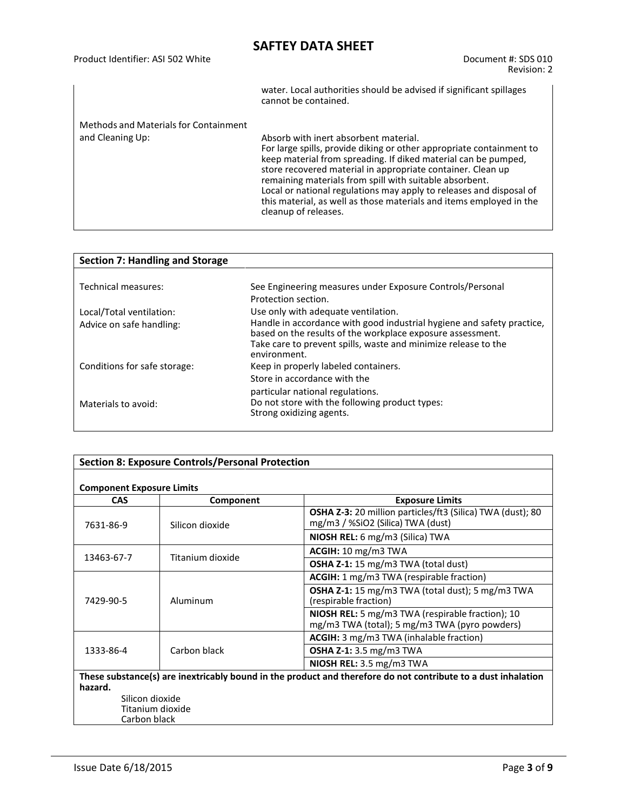| Product Identifier: ASI 502 White | Document #: SDS 010<br>Revision: 2                                  |  |
|-----------------------------------|---------------------------------------------------------------------|--|
|                                   | water. Local authorities should be advised if significant spillages |  |

|                                       | water. Local authorities should be advised if significant spillages<br>cannot be contained.                                                                                                                                                                                                                                                                                                                                                                                     |
|---------------------------------------|---------------------------------------------------------------------------------------------------------------------------------------------------------------------------------------------------------------------------------------------------------------------------------------------------------------------------------------------------------------------------------------------------------------------------------------------------------------------------------|
| Methods and Materials for Containment |                                                                                                                                                                                                                                                                                                                                                                                                                                                                                 |
| and Cleaning Up:                      | Absorb with inert absorbent material.<br>For large spills, provide diking or other appropriate containment to<br>keep material from spreading. If diked material can be pumped,<br>store recovered material in appropriate container. Clean up<br>remaining materials from spill with suitable absorbent.<br>Local or national regulations may apply to releases and disposal of<br>this material, as well as those materials and items employed in the<br>cleanup of releases. |

| <b>Section 7: Handling and Storage</b> |                                                                                                                                                                                                                        |
|----------------------------------------|------------------------------------------------------------------------------------------------------------------------------------------------------------------------------------------------------------------------|
|                                        |                                                                                                                                                                                                                        |
| Technical measures:                    | See Engineering measures under Exposure Controls/Personal                                                                                                                                                              |
|                                        | Protection section.                                                                                                                                                                                                    |
| Local/Total ventilation:               | Use only with adequate ventilation.                                                                                                                                                                                    |
| Advice on safe handling:               | Handle in accordance with good industrial hygiene and safety practice,<br>based on the results of the workplace exposure assessment.<br>Take care to prevent spills, waste and minimize release to the<br>environment. |
| Conditions for safe storage:           | Keep in properly labeled containers.<br>Store in accordance with the<br>particular national regulations.                                                                                                               |
| Materials to avoid:                    | Do not store with the following product types:<br>Strong oxidizing agents.                                                                                                                                             |

|                                  | <b>Section 8: Exposure Controls/Personal Protection</b> |                                                                                                               |
|----------------------------------|---------------------------------------------------------|---------------------------------------------------------------------------------------------------------------|
| <b>Component Exposure Limits</b> |                                                         |                                                                                                               |
| <b>CAS</b>                       | Component                                               | <b>Exposure Limits</b>                                                                                        |
| 7631-86-9                        | Silicon dioxide                                         | OSHA Z-3: 20 million particles/ft3 (Silica) TWA (dust); 80<br>mg/m3 / %SiO2 (Silica) TWA (dust)               |
|                                  |                                                         | NIOSH REL: 6 mg/m3 (Silica) TWA                                                                               |
| 13463-67-7                       | Titanium dioxide                                        | ACGIH: 10 mg/m3 TWA                                                                                           |
|                                  |                                                         | OSHA Z-1: 15 mg/m3 TWA (total dust)                                                                           |
| 7429-90-5                        |                                                         | ACGIH: 1 mg/m3 TWA (respirable fraction)                                                                      |
|                                  | Aluminum                                                | <b>OSHA Z-1:</b> 15 mg/m3 TWA (total dust); 5 mg/m3 TWA<br>(respirable fraction)                              |
|                                  |                                                         | NIOSH REL: 5 mg/m3 TWA (respirable fraction); 10<br>mg/m3 TWA (total); 5 mg/m3 TWA (pyro powders)             |
|                                  |                                                         | ACGIH: 3 mg/m3 TWA (inhalable fraction)                                                                       |
| 1333-86-4                        | Carbon black                                            | OSHA Z-1: 3.5 mg/m3 TWA                                                                                       |
|                                  |                                                         | NIOSH REL: 3.5 mg/m3 TWA                                                                                      |
| hazard.                          |                                                         | These substance(s) are inextricably bound in the product and therefore do not contribute to a dust inhalation |
| Silicon dioxide                  |                                                         |                                                                                                               |
|                                  | Titanium dioxide                                        |                                                                                                               |
| Carbon black                     |                                                         |                                                                                                               |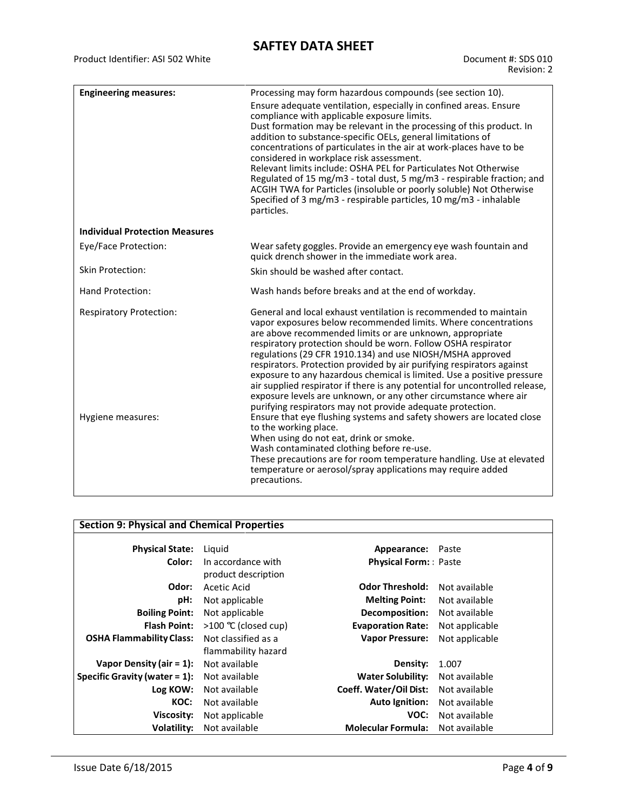| <b>Engineering measures:</b>          | Processing may form hazardous compounds (see section 10).<br>Ensure adequate ventilation, especially in confined areas. Ensure                                                                                                                                                                                                                                                                                                                                                                                                                                                                                                                                                                   |
|---------------------------------------|--------------------------------------------------------------------------------------------------------------------------------------------------------------------------------------------------------------------------------------------------------------------------------------------------------------------------------------------------------------------------------------------------------------------------------------------------------------------------------------------------------------------------------------------------------------------------------------------------------------------------------------------------------------------------------------------------|
|                                       | compliance with applicable exposure limits.<br>Dust formation may be relevant in the processing of this product. In<br>addition to substance-specific OELs, general limitations of<br>concentrations of particulates in the air at work-places have to be<br>considered in workplace risk assessment.<br>Relevant limits include: OSHA PEL for Particulates Not Otherwise<br>Regulated of 15 mg/m3 - total dust, 5 mg/m3 - respirable fraction; and<br>ACGIH TWA for Particles (insoluble or poorly soluble) Not Otherwise<br>Specified of 3 mg/m3 - respirable particles, 10 mg/m3 - inhalable<br>particles.                                                                                    |
| <b>Individual Protection Measures</b> |                                                                                                                                                                                                                                                                                                                                                                                                                                                                                                                                                                                                                                                                                                  |
| Eye/Face Protection:                  | Wear safety goggles. Provide an emergency eye wash fountain and<br>quick drench shower in the immediate work area.                                                                                                                                                                                                                                                                                                                                                                                                                                                                                                                                                                               |
| <b>Skin Protection:</b>               | Skin should be washed after contact.                                                                                                                                                                                                                                                                                                                                                                                                                                                                                                                                                                                                                                                             |
| Hand Protection:                      | Wash hands before breaks and at the end of workday.                                                                                                                                                                                                                                                                                                                                                                                                                                                                                                                                                                                                                                              |
| <b>Respiratory Protection:</b>        | General and local exhaust ventilation is recommended to maintain<br>vapor exposures below recommended limits. Where concentrations<br>are above recommended limits or are unknown, appropriate<br>respiratory protection should be worn. Follow OSHA respirator<br>regulations (29 CFR 1910.134) and use NIOSH/MSHA approved<br>respirators. Protection provided by air purifying respirators against<br>exposure to any hazardous chemical is limited. Use a positive pressure<br>air supplied respirator if there is any potential for uncontrolled release,<br>exposure levels are unknown, or any other circumstance where air<br>purifying respirators may not provide adequate protection. |
| Hygiene measures:                     | Ensure that eye flushing systems and safety showers are located close<br>to the working place.<br>When using do not eat, drink or smoke.<br>Wash contaminated clothing before re-use.<br>These precautions are for room temperature handling. Use at elevated<br>temperature or aerosol/spray applications may require added<br>precautions.                                                                                                                                                                                                                                                                                                                                                     |

### **Section 9: Physical and Chemical Properties**

| <b>Physical State:</b>           | Liguid                                    | Appearance: Paste           |                |
|----------------------------------|-------------------------------------------|-----------------------------|----------------|
| Color:                           | In accordance with<br>product description | <b>Physical Form:</b> Paste |                |
| Odor:                            | Acetic Acid                               | <b>Odor Threshold:</b>      | Not available  |
| pH:                              | Not applicable                            | <b>Melting Point:</b>       | Not available  |
| <b>Boiling Point:</b>            | Not applicable                            | Decomposition:              | Not available  |
| <b>Flash Point:</b>              | >100 ℃ (closed cup)                       | <b>Evaporation Rate:</b>    | Not applicable |
| <b>OSHA Flammability Class:</b>  | Not classified as a                       | <b>Vapor Pressure:</b>      | Not applicable |
|                                  | flammability hazard                       |                             |                |
| Vapor Density (air = $1$ ):      | Not available                             | Density:                    | 1.007          |
| Specific Gravity (water $= 1$ ): | Not available                             | <b>Water Solubility:</b>    | Not available  |
| Log KOW:                         | Not available                             | Coeff. Water/Oil Dist:      | Not available  |
| KOC:                             | Not available                             | Auto Ignition:              | Not available  |
| Viscosity:                       | Not applicable                            | VOC:                        | Not available  |
| <b>Volatility:</b>               | Not available                             | <b>Molecular Formula:</b>   | Not available  |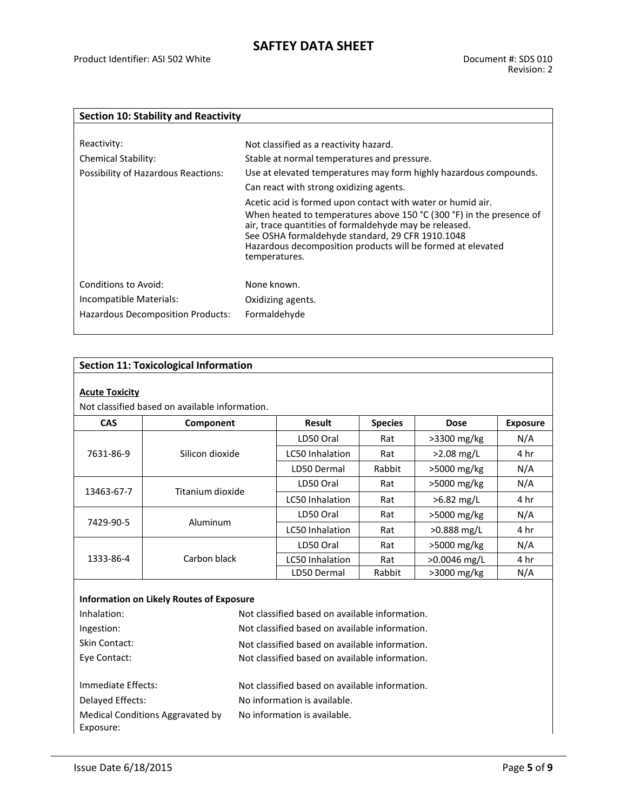| <b>Section 10: Stability and Reactivity</b>     |                                                                                                                                                                                                                                                                                                                                   |  |
|-------------------------------------------------|-----------------------------------------------------------------------------------------------------------------------------------------------------------------------------------------------------------------------------------------------------------------------------------------------------------------------------------|--|
|                                                 |                                                                                                                                                                                                                                                                                                                                   |  |
| Reactivity:                                     | Not classified as a reactivity hazard.                                                                                                                                                                                                                                                                                            |  |
| <b>Chemical Stability:</b>                      | Stable at normal temperatures and pressure.                                                                                                                                                                                                                                                                                       |  |
| Possibility of Hazardous Reactions:             | Use at elevated temperatures may form highly hazardous compounds.                                                                                                                                                                                                                                                                 |  |
|                                                 | Can react with strong oxidizing agents.                                                                                                                                                                                                                                                                                           |  |
|                                                 | Acetic acid is formed upon contact with water or humid air.<br>When heated to temperatures above 150 °C (300 °F) in the presence of<br>air, trace quantities of formaldehyde may be released.<br>See OSHA formaldehyde standard, 29 CFR 1910.1048<br>Hazardous decomposition products will be formed at elevated<br>temperatures. |  |
| Conditions to Avoid:<br>Incompatible Materials: | None known.<br>Oxidizing agents.                                                                                                                                                                                                                                                                                                  |  |
| Hazardous Decomposition Products:               | Formaldehyde                                                                                                                                                                                                                                                                                                                      |  |

### **Section 11: Toxicological Information**

#### **Acute Toxicity**

Not classified based on available information.

| <b>CAS</b> | Component        | <b>Species</b><br>Result |        | <b>Dose</b>    | <b>Exposure</b> |
|------------|------------------|--------------------------|--------|----------------|-----------------|
| 7631-86-9  |                  | LD50 Oral                | Rat    | $>3300$ mg/kg  | N/A             |
|            | Silicon dioxide  | <b>LC50 Inhalation</b>   | Rat    | $>2.08$ mg/L   | 4 hr            |
|            |                  | LD50 Dermal              | Rabbit | $>5000$ mg/kg  | N/A             |
| 13463-67-7 | Titanium dioxide | LD50 Oral                | Rat    | $>5000$ mg/kg  | N/A             |
|            |                  | <b>LC50 Inhalation</b>   | Rat    | $>6.82$ mg/L   | 4 hr            |
| 7429-90-5  |                  | LD50 Oral                | Rat    | $>5000$ mg/kg  | N/A             |
|            | Aluminum         | LC50 Inhalation          | Rat    | $>0.888$ mg/L  | 4 hr            |
| 1333-86-4  |                  | LD50 Oral                | Rat    | $>5000$ mg/kg  | N/A             |
|            | Carbon black     | <b>LC50 Inhalation</b>   | Rat    | $>0.0046$ mg/L | 4 hr            |
|            |                  | LD50 Dermal              | Rabbit | $>3000$ mg/kg  | N/A             |

#### **Information on Likely Routes of Exposure**

| Inhalation:                      | Not classified based on available information. |  |
|----------------------------------|------------------------------------------------|--|
| Ingestion:                       | Not classified based on available information. |  |
| Skin Contact:                    | Not classified based on available information. |  |
| Eye Contact:                     | Not classified based on available information. |  |
|                                  |                                                |  |
| Immediate Effects:               | Not classified based on available information. |  |
| Delayed Effects:                 | No information is available.                   |  |
| Medical Conditions Aggravated by | No information is available.                   |  |
| Exposure:                        |                                                |  |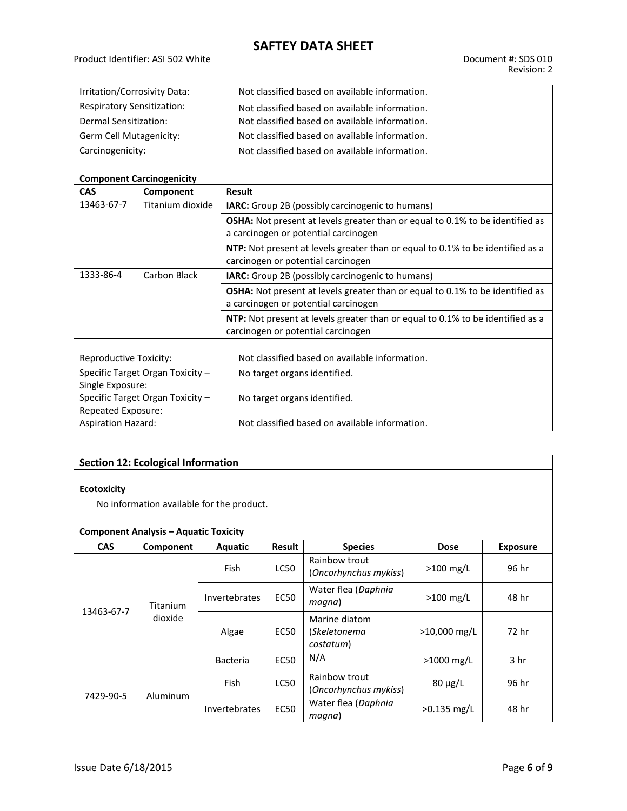| Irritation/Corrosivity Data:      | Not classified based on available information. |
|-----------------------------------|------------------------------------------------|
| <b>Respiratory Sensitization:</b> | Not classified based on available information. |
| Dermal Sensitization:             | Not classified based on available information. |
| Germ Cell Mutagenicity:           | Not classified based on available information. |
| Carcinogenicity:                  | Not classified based on available information. |

#### **Component Carcinogenicity**

| <b>CAS</b>                                             | Component        | <b>Result</b>                                                                                                                |  |  |  |
|--------------------------------------------------------|------------------|------------------------------------------------------------------------------------------------------------------------------|--|--|--|
| 13463-67-7                                             | Titanium dioxide | <b>IARC:</b> Group 2B (possibly carcinogenic to humans)                                                                      |  |  |  |
|                                                        |                  | <b>OSHA:</b> Not present at levels greater than or equal to 0.1% to be identified as<br>a carcinogen or potential carcinogen |  |  |  |
|                                                        |                  | <b>NTP:</b> Not present at levels greater than or equal to 0.1% to be identified as a<br>carcinogen or potential carcinogen  |  |  |  |
| 1333-86-4                                              | Carbon Black     | <b>IARC:</b> Group 2B (possibly carcinogenic to humans)                                                                      |  |  |  |
|                                                        |                  | <b>OSHA:</b> Not present at levels greater than or equal to 0.1% to be identified as<br>a carcinogen or potential carcinogen |  |  |  |
|                                                        |                  | <b>NTP:</b> Not present at levels greater than or equal to 0.1% to be identified as a<br>carcinogen or potential carcinogen  |  |  |  |
|                                                        |                  |                                                                                                                              |  |  |  |
| Reproductive Toxicity:                                 |                  | Not classified based on available information.                                                                               |  |  |  |
| Specific Target Organ Toxicity -                       |                  | No target organs identified.                                                                                                 |  |  |  |
| Single Exposure:                                       |                  |                                                                                                                              |  |  |  |
| Specific Target Organ Toxicity -<br>Repeated Exposure: |                  | No target organs identified.                                                                                                 |  |  |  |
| <b>Aspiration Hazard:</b>                              |                  | Not classified based on available information.                                                                               |  |  |  |

### **Section 12: Ecological Information**

#### **Ecotoxicity**

No information available for the product.

### **Component Analysis – Aquatic Toxicity**

| <b>CAS</b> | Component                  | <b>Aquatic</b>       | Result      | <b>Species</b>                             | <b>Dose</b>   | <b>Exposure</b> |
|------------|----------------------------|----------------------|-------------|--------------------------------------------|---------------|-----------------|
| 13463-67-7 | <b>Titanium</b><br>dioxide | <b>Fish</b>          | LC50        | Rainbow trout<br>(Oncorhynchus mykiss)     | $>100$ mg/L   | 96 hr           |
|            |                            | <b>Invertebrates</b> | <b>EC50</b> | Water flea (Daphnia<br>magna)              | $>100$ mg/L   | 48 hr           |
|            |                            | Algae                | EC50        | Marine diatom<br>(Skeletonema<br>costatum) | >10,000 mg/L  | 72 hr           |
|            |                            | <b>Bacteria</b>      | <b>EC50</b> | N/A                                        | $>1000$ mg/L  | 3 <sub>hr</sub> |
| 7429-90-5  | Aluminum                   | <b>Fish</b>          | <b>LC50</b> | Rainbow trout<br>(Oncorhynchus mykiss)     | $80 \mu g/L$  | 96 hr           |
|            |                            | Invertebrates        | <b>EC50</b> | Water flea (Daphnia<br>magna)              | $>0.135$ mg/L | 48 hr           |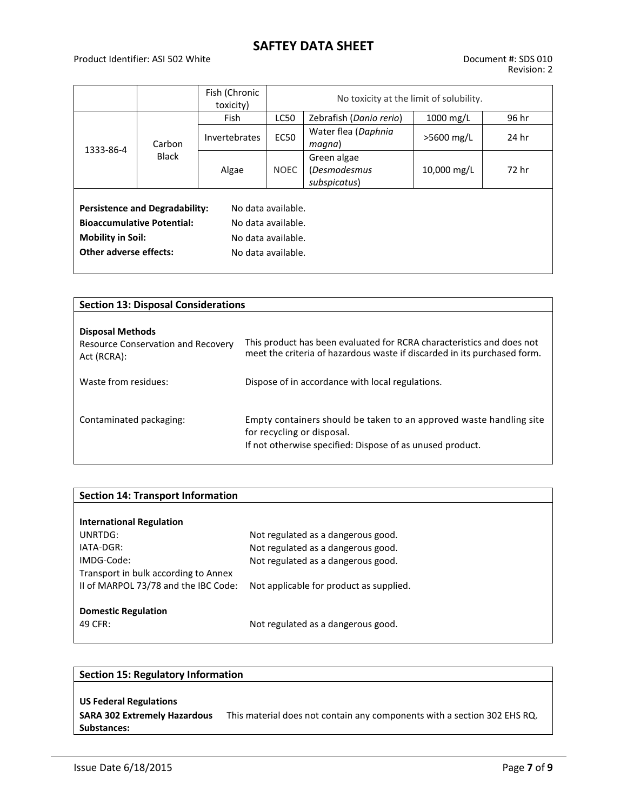#### Product Identifier: ASI 502 White Document #: SDS 010

|                                                                                                                                                                                                                          |                        | Fish (Chronic<br>toxicity) | No toxicity at the limit of solubility. |                                                    |             |       |
|--------------------------------------------------------------------------------------------------------------------------------------------------------------------------------------------------------------------------|------------------------|----------------------------|-----------------------------------------|----------------------------------------------------|-------------|-------|
|                                                                                                                                                                                                                          | Carbon<br><b>Black</b> | <b>Fish</b>                | <b>LC50</b>                             | Zebrafish (Danio rerio)                            | $1000$ mg/L | 96 hr |
| 1333-86-4                                                                                                                                                                                                                |                        | Invertebrates              | <b>EC50</b>                             | Water flea (Daphnia<br>magna)                      | >5600 mg/L  | 24 hr |
|                                                                                                                                                                                                                          |                        | Algae                      | <b>NOEC</b>                             | Green algae<br><i>(Desmodesmus</i><br>subspicatus) | 10,000 mg/L | 72 hr |
| <b>Persistence and Degradability:</b><br>No data available.<br><b>Bioaccumulative Potential:</b><br>No data available.<br><b>Mobility in Soil:</b><br>No data available.<br>Other adverse effects:<br>No data available. |                        |                            |                                         |                                                    |             |       |

| <b>Section 13: Disposal Considerations</b>                                          |                                                                                                                                                                |  |  |  |
|-------------------------------------------------------------------------------------|----------------------------------------------------------------------------------------------------------------------------------------------------------------|--|--|--|
| <b>Disposal Methods</b><br><b>Resource Conservation and Recovery</b><br>Act (RCRA): | This product has been evaluated for RCRA characteristics and does not<br>meet the criteria of hazardous waste if discarded in its purchased form.              |  |  |  |
| Waste from residues:                                                                | Dispose of in accordance with local regulations.                                                                                                               |  |  |  |
| Contaminated packaging:                                                             | Empty containers should be taken to an approved waste handling site<br>for recycling or disposal.<br>If not otherwise specified: Dispose of as unused product. |  |  |  |

| <b>Section 14: Transport Information</b> |                                         |
|------------------------------------------|-----------------------------------------|
|                                          |                                         |
| <b>International Regulation</b>          |                                         |
| UNRTDG:                                  | Not regulated as a dangerous good.      |
| IATA-DGR:                                | Not regulated as a dangerous good.      |
| IMDG-Code:                               | Not regulated as a dangerous good.      |
| Transport in bulk according to Annex     |                                         |
| II of MARPOL 73/78 and the IBC Code:     | Not applicable for product as supplied. |
|                                          |                                         |
| <b>Domestic Regulation</b>               |                                         |
| 49 CFR:                                  | Not regulated as a dangerous good.      |
|                                          |                                         |

# **Section 15: Regulatory Information US Federal Regulations SARA 302 Extremely Hazardous**  This material does not contain any components with a section 302 EHS RQ.**Substances:**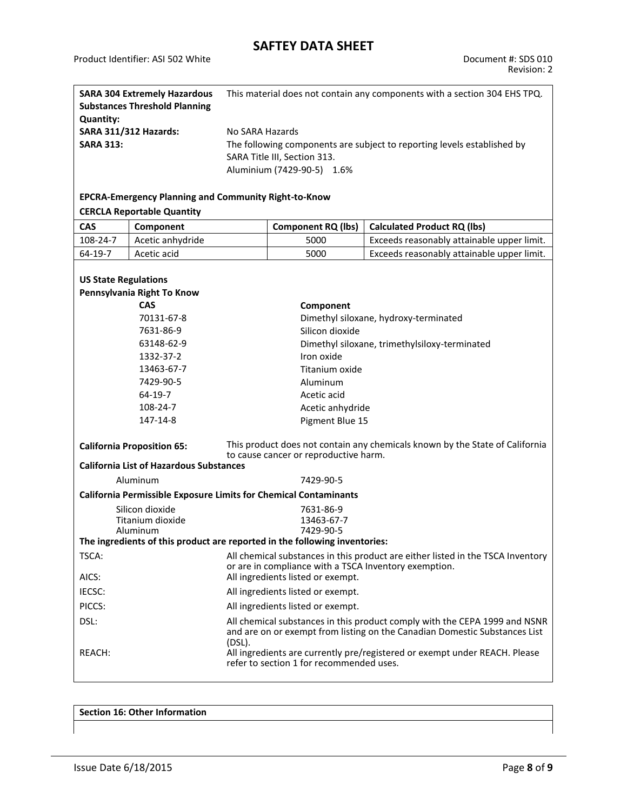| <b>SARA 304 Extremely Hazardous</b><br><b>Substances Threshold Planning</b><br><b>Quantity:</b>                                                                            |                                                             | This material does not contain any components with a section 304 EHS TPQ.                                                                |                                                                         |                                                                         |  |
|----------------------------------------------------------------------------------------------------------------------------------------------------------------------------|-------------------------------------------------------------|------------------------------------------------------------------------------------------------------------------------------------------|-------------------------------------------------------------------------|-------------------------------------------------------------------------|--|
| <b>SARA 311/312 Hazards:</b>                                                                                                                                               |                                                             | No SARA Hazards                                                                                                                          |                                                                         |                                                                         |  |
| <b>SARA 313:</b>                                                                                                                                                           |                                                             |                                                                                                                                          |                                                                         | The following components are subject to reporting levels established by |  |
|                                                                                                                                                                            |                                                             |                                                                                                                                          | SARA Title III, Section 313.                                            |                                                                         |  |
|                                                                                                                                                                            |                                                             |                                                                                                                                          | Aluminium (7429-90-5) 1.6%                                              |                                                                         |  |
|                                                                                                                                                                            |                                                             |                                                                                                                                          |                                                                         |                                                                         |  |
|                                                                                                                                                                            | <b>EPCRA-Emergency Planning and Community Right-to-Know</b> |                                                                                                                                          |                                                                         |                                                                         |  |
|                                                                                                                                                                            | <b>CERCLA Reportable Quantity</b>                           |                                                                                                                                          |                                                                         |                                                                         |  |
| CAS                                                                                                                                                                        | Component                                                   |                                                                                                                                          | <b>Component RQ (lbs)</b>                                               | <b>Calculated Product RQ (lbs)</b>                                      |  |
| 108-24-7                                                                                                                                                                   | Acetic anhydride                                            |                                                                                                                                          | 5000                                                                    | Exceeds reasonably attainable upper limit.                              |  |
| 64-19-7                                                                                                                                                                    | Acetic acid                                                 |                                                                                                                                          | 5000                                                                    | Exceeds reasonably attainable upper limit.                              |  |
|                                                                                                                                                                            |                                                             |                                                                                                                                          |                                                                         |                                                                         |  |
| <b>US State Regulations</b>                                                                                                                                                |                                                             |                                                                                                                                          |                                                                         |                                                                         |  |
|                                                                                                                                                                            | Pennsylvania Right To Know                                  |                                                                                                                                          |                                                                         |                                                                         |  |
|                                                                                                                                                                            | <b>CAS</b>                                                  |                                                                                                                                          | Component                                                               |                                                                         |  |
|                                                                                                                                                                            | 70131-67-8                                                  |                                                                                                                                          |                                                                         | Dimethyl siloxane, hydroxy-terminated                                   |  |
|                                                                                                                                                                            | 7631-86-9                                                   |                                                                                                                                          | Silicon dioxide                                                         |                                                                         |  |
|                                                                                                                                                                            | 63148-62-9                                                  | Dimethyl siloxane, trimethylsiloxy-terminated                                                                                            |                                                                         |                                                                         |  |
|                                                                                                                                                                            | 1332-37-2                                                   | Iron oxide                                                                                                                               |                                                                         |                                                                         |  |
|                                                                                                                                                                            | 13463-67-7                                                  | Titanium oxide                                                                                                                           |                                                                         |                                                                         |  |
|                                                                                                                                                                            | 7429-90-5                                                   | Aluminum                                                                                                                                 |                                                                         |                                                                         |  |
| 64-19-7                                                                                                                                                                    |                                                             |                                                                                                                                          | Acetic acid                                                             |                                                                         |  |
| 108-24-7                                                                                                                                                                   |                                                             |                                                                                                                                          | Acetic anhydride                                                        |                                                                         |  |
| 147-14-8                                                                                                                                                                   |                                                             |                                                                                                                                          | Pigment Blue 15                                                         |                                                                         |  |
|                                                                                                                                                                            |                                                             |                                                                                                                                          |                                                                         |                                                                         |  |
| <b>California Proposition 65:</b>                                                                                                                                          |                                                             | This product does not contain any chemicals known by the State of California<br>to cause cancer or reproductive harm.                    |                                                                         |                                                                         |  |
| <b>California List of Hazardous Substances</b>                                                                                                                             |                                                             |                                                                                                                                          |                                                                         |                                                                         |  |
| Aluminum                                                                                                                                                                   |                                                             | 7429-90-5                                                                                                                                |                                                                         |                                                                         |  |
|                                                                                                                                                                            |                                                             |                                                                                                                                          | <b>California Permissible Exposure Limits for Chemical Contaminants</b> |                                                                         |  |
|                                                                                                                                                                            | Silicon dioxide                                             | 7631-86-9                                                                                                                                |                                                                         |                                                                         |  |
|                                                                                                                                                                            | Titanium dioxide                                            |                                                                                                                                          | 13463-67-7                                                              |                                                                         |  |
|                                                                                                                                                                            | Aluminum                                                    | 7429-90-5                                                                                                                                |                                                                         |                                                                         |  |
| The ingredients of this product are reported in the following inventories:                                                                                                 |                                                             |                                                                                                                                          |                                                                         |                                                                         |  |
| TSCA:                                                                                                                                                                      |                                                             | All chemical substances in this product are either listed in the TSCA Inventory<br>or are in compliance with a TSCA Inventory exemption. |                                                                         |                                                                         |  |
| AICS:                                                                                                                                                                      |                                                             | All ingredients listed or exempt.                                                                                                        |                                                                         |                                                                         |  |
| IECSC:                                                                                                                                                                     |                                                             | All ingredients listed or exempt.                                                                                                        |                                                                         |                                                                         |  |
| PICCS:                                                                                                                                                                     |                                                             | All ingredients listed or exempt.                                                                                                        |                                                                         |                                                                         |  |
| DSL:<br>All chemical substances in this product comply with the CEPA 1999 and NSNR<br>and are on or exempt from listing on the Canadian Domestic Substances List<br>(DSL). |                                                             |                                                                                                                                          |                                                                         |                                                                         |  |
| REACH:                                                                                                                                                                     |                                                             | All ingredients are currently pre/registered or exempt under REACH. Please<br>refer to section 1 for recommended uses.                   |                                                                         |                                                                         |  |

**Section 16: Other Information**